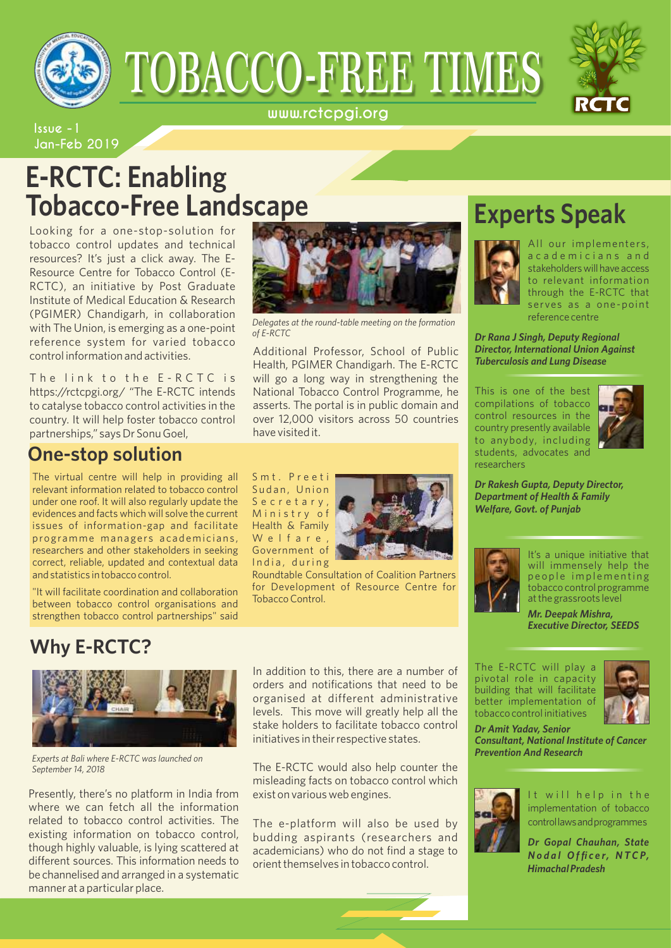

**TOBACCO-FREE TIMES**

**www.rctcpgi.org**



**Issue -1 Jan-Feb 2019**

# **E-RCTC: Enabling Tobacco-Free Landscape**

Looking for a one-stop-solution for tobacco control updates and technical resources? It's just a click away. The E-Resource Centre for Tobacco Control (E-RCTC), an initiative by Post Graduate Institute of Medical Education & Research (PGIMER) Chandigarh, in collaboration with The Union, is emerging as a one-point reference system for varied tobacco control information and activities.

The link to the E-RCTC is https://rctcpgi.org/ "The E-RCTC intends to catalyse tobacco control activities in the country. It will help foster tobacco control partnerships," says Dr Sonu Goel,

## **One-stop solution**

The virtual centre will help in providing all relevant information related to tobacco control under one roof. It will also regularly update the evidences and facts which will solve the current issues of information-gap and facilitate programme managers academicians, researchers and other stakeholders in seeking correct, reliable, updated and contextual data and statistics in tobacco control.

"It will facilitate coordination and collaboration between tobacco control organisations and strengthen tobacco control partnerships" said

## **Why E-RCTC?**



*Experts at Bali where E-RCTC was launched on September 14, 2018*

Presently, there's no platform in India from where we can fetch all the information related to tobacco control activities. The existing information on tobacco control, though highly valuable, is lying scattered at different sources. This information needs to be channelised and arranged in a systematic manner at a particular place.



*Delegates at the round-table meeting on the formation of E-RCTC*

Additional Professor, School of Public Health, PGIMER Chandigarh. The E-RCTC will go a long way in strengthening the National Tobacco Control Programme, he asserts. The portal is in public domain and over 12,000 visitors across 50 countries have visited it.

Smt. Preeti Sudan, Union Secretary, Ministry of Health & Family W e I f a r e Government of India, during



Roundtable Consultation of Coalition Partners for Development of Resource Centre for Tobacco Control.

In addition to this, there are a number of orders and notifications that need to be organised at different administrative levels. This move will greatly help all the stake holders to facilitate tobacco control

The E-RCTC would also help counter the misleading facts on tobacco control which

The e-platform will also be used by budding aspirants (researchers and academicians) who do not find a stage to orient themselves in tobacco control.

initiatives in their respective states.

exist on various web engines.

# **Experts Speak**



All our implementers, a c a d e m i c i a n s a n d stakeholders will have access to relevant information through the E-RCTC that serves as a one-point reference centre

*Dr Rana J Singh, Deputy Regional Director, International Union Against Tuberculosis and Lung Disease*

This is one of the best compilations of tobacco control resources in the country presently available to anybody, including students, advocates and researchers



*Dr Rakesh Gupta, Deputy Director, Department of Health & Family Welfare, Govt. of Punjab*



It's a unique initiative that will immensely help the people implementing tobacco control programme at the grassroots level

*Mr. Deepak Mishra, Executive Director, SEEDS*

The E-RCTC will play a pivotal role in capacity building that will facilitate better implementation of tobacco control initiatives



*Dr Amit Yadav, Senior Consultant, National Institute of Cancer Prevention And Research*



It will help in the implementation of tobacco controllawsandprogrammes

*Dr Gopal Chauhan, State No d a l Of fi c e r, NTC P, Himachal Pradesh*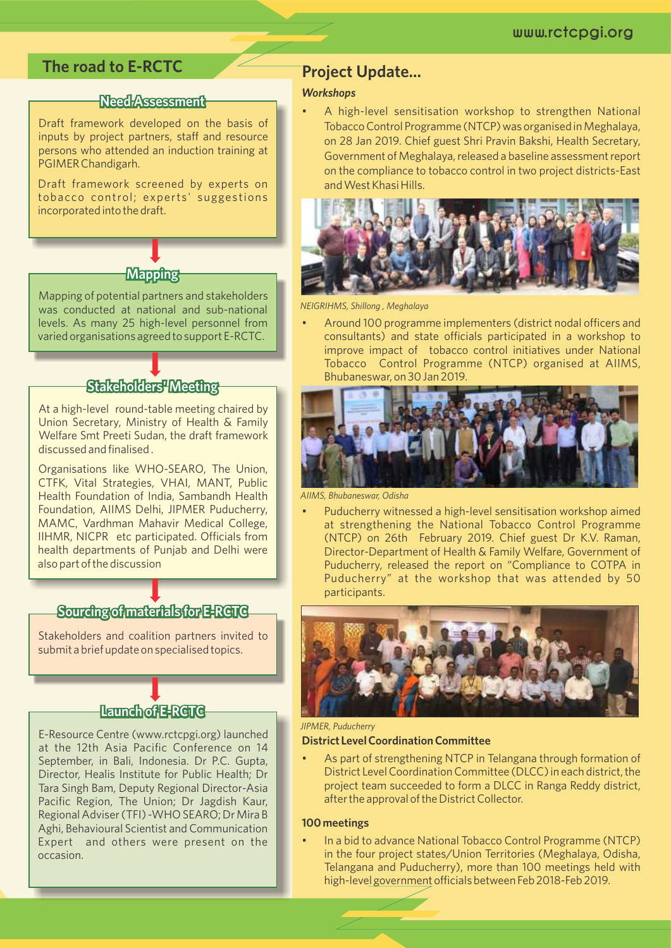### **The road to E-RCTC**

### **Need Assessment**

Draft framework developed on the basis of inputs by project partners, staff and resource persons who attended an induction training at PGIMER Chandigarh.

Draft framework screened by experts on tobacco control; experts' suggestions incorporated into the draft.



Mapping of potential partners and stakeholders was conducted at national and sub-national levels. As many 25 high-level personnel from varied organisations agreed to support E-RCTC.

### **Stakeholders' Meeting**

At a high-level round-table meeting chaired by Union Secretary, Ministry of Health & Family Welfare Smt Preeti Sudan, the draft framework discussed and finalised .

Organisations like WHO-SEARO, The Union, CTFK, Vital Strategies, VHAI, MANT, Public Health Foundation of India, Sambandh Health Foundation, AIIMS Delhi, JIPMER Puducherry, MAMC, Vardhman Mahavir Medical College, IIHMR, NICPR etc participated. Officials from health departments of Punjab and Delhi were also part of the discussion

## **Sourcing of materials for E-RCTC**

Stakeholders and coalition partners invited to submit a brief update on specialised topics.

### **Launch of Exame**

E-Resource Centre (www.rctcpgi.org) launched at the 12th Asia Pacific Conference on 14 September, in Bali, Indonesia. Dr P.C. Gupta, Director, Healis Institute for Public Health; Dr Tara Singh Bam, Deputy Regional Director-Asia Pacific Region, The Union; Dr Jagdish Kaur, Regional Adviser (TFI) -WHO SEARO; Dr Mira B Aghi, Behavioural Scientist and Communication Expert and others were present on the occasion.

### **Project Update...**

#### *Workshops*

• A high-level sensitisation workshop to strengthen National Tobacco Control Programme (NTCP) was organised in Meghalaya, on 28 Jan 2019. Chief guest Shri Pravin Bakshi, Health Secretary, Government of Meghalaya, released a baseline assessment report on the compliance to tobacco control in two project districts-East and West Khasi Hills.



#### *NEIGRIHMS, Shillong , Meghalaya*

• Around 100 programme implementers (district nodal officers and consultants) and state officials participated in a workshop to improve impact of tobacco control initiatives under National Tobacco Control Programme (NTCP) organised at AIIMS, Bhubaneswar, on 30 Jan 2019.



*AIIMS, Bhubaneswar, Odisha*

Puducherry witnessed a high-level sensitisation workshop aimed at strengthening the National Tobacco Control Programme (NTCP) on 26th February 2019. Chief guest Dr K.V. Raman, Director-Department of Health & Family Welfare, Government of Puducherry, released the report on "Compliance to COTPA in Puducherry" at the workshop that was attended by 50 participants.



#### *JIPMER, Puducherry*

#### **District Level Coordination Committee**

• As part of strengthening NTCP in Telangana through formation of District Level Coordination Committee (DLCC) in each district, the project team succeeded to form a DLCC in Ranga Reddy district, after the approval of the District Collector.

#### **100 meetings**

• In a bid to advance National Tobacco Control Programme (NTCP) in the four project states/Union Territories (Meghalaya, Odisha, Telangana and Puducherry), more than 100 meetings held with high-level government officials between Feb 2018-Feb 2019.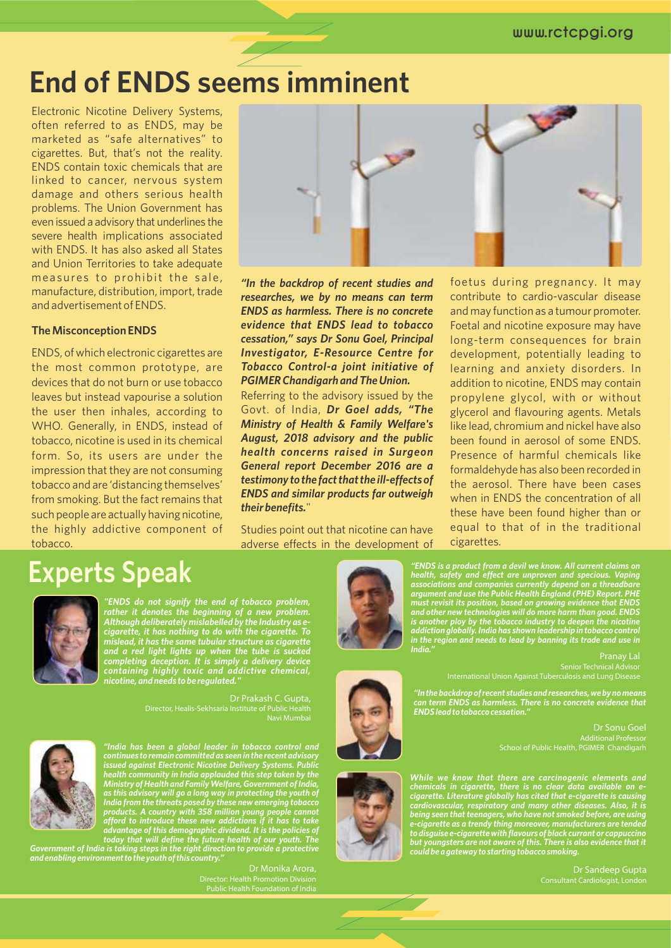# **End of ENDS seems imminent**

Electronic Nicotine Delivery Systems, often referred to as ENDS, may be marketed as "safe alternatives" to cigarettes. But, that's not the reality. ENDS contain toxic chemicals that are linked to cancer, nervous system damage and others serious health problems. The Union Government has even issued a advisory that underlines the severe health implications associated with ENDS. It has also asked all States and Union Territories to take adequate measures to prohibit the sale, manufacture, distribution, import, trade and advertisement of ENDS.

#### **The Misconception ENDS**

ENDS, of which electronic cigarettes are the most common prototype, are devices that do not burn or use tobacco leaves but instead vapourise a solution the user then inhales, according to WHO. Generally, in ENDS, instead of tobacco, nicotine is used in its chemical form. So, its users are under the impression that they are not consuming tobacco and are 'distancing themselves' from smoking. But the fact remains that such people are actually having nicotine, the highly addictive component of tobacco.



*"In the backdrop of recent studies and researches, we by no means can term ENDS as harmless. There is no concrete evidence that ENDS lead to tobacco cessation," says Dr Sonu Goel, Principal Investigator, E-Resource Centre for Tobacco Control-a joint initiative of PGIMER Chandigarh and The Union.* 

Referring to the advisory issued by the Govt. of India, *Dr Goel adds, "The Ministry of Health & Family Welfare's August, 2018 advisory and the public health concerns raised in Surgeon General report December 2016 are a testimony to the fact that the ill-effects of ENDS and similar products far outweigh their benefits.*"

Studies point out that nicotine can have adverse effects in the development of foetus during pregnancy. It may contribute to cardio-vascular disease and may function as a tumour promoter. Foetal and nicotine exposure may have long-term consequences for brain development, potentially leading to learning and anxiety disorders. In addition to nicotine, ENDS may contain propylene glycol, with or without glycerol and flavouring agents. Metals like lead, chromium and nickel have also been found in aerosol of some ENDS. Presence of harmful chemicals like formaldehyde has also been recorded in the aerosol. There have been cases when in ENDS the concentration of all these have been found higher than or equal to that of in the traditional cigarettes.

# **Experts Speak**



*"ENDS do not signify the end of tobacco problem, rather it denotes the beginning of a new problem. Although deliberately mislabelled by the Industry as ecigarette, it has nothing to do with the cigarette. To mislead, it has the same tubular structure as cigarette and a red light lights up when the tube is sucked completing deception. It is simply a delivery device containing highly toxic and addictive chemical, nicotine, and needs to be regulated."*

> Dr Prakash C. Gupta, Director, Healis-Sekhsaria Institute of Public Health Navi Mumbai



*"India has been a global leader in tobacco control and continues to remain committed as seen in the recent advisory issued against Electronic Nicotine Delivery Systems. Public health community in India applauded this step taken by the Ministry of Health and Family Welfare, Government of India, as this advisory will go a long way in protecting the youth of India from the threats posed by these new emerging tobacco products. A country with 358 million young people cannot afford to introduce these new addictions if it has to take advantage of this demographic dividend. It is the policies of* 

*today that will define the future health of our youth. The Government of India is taking steps in the right direction to provide a protective and enabling environment to the youth of this country."* 

Dr Monika Arora, Director: Health Promotion Division





Pranay Lal Senior Technical Advisor International Union Against Tuberculosis and Lung Disease

*"In the backdrop of recent studies and researches, we by no means can term ENDS as harmless. There is no concrete evidence that ENDS lead to tobacco cessation."*

> Dr Sonu Goel Additional Professor School of Public Health, PGIMER Chandigarh



*While we know that there are carcinogenic elements and chemicals in cigarette, there is no clear data available on ecigarette. Literature globally has cited that e-cigarette is causing cardiovascular, respiratory and many other diseases. Also, it is being seen that teenagers, who have not smoked before, are using e-cigarette as a trendy thing moreover, manufacturers are tended to disguise e-cigarette with flavours of black currant or cappuccino but youngsters are not aware of this. There is also evidence that it could be a gateway to starting tobacco smoking.*

Dr Sandeep Gupta